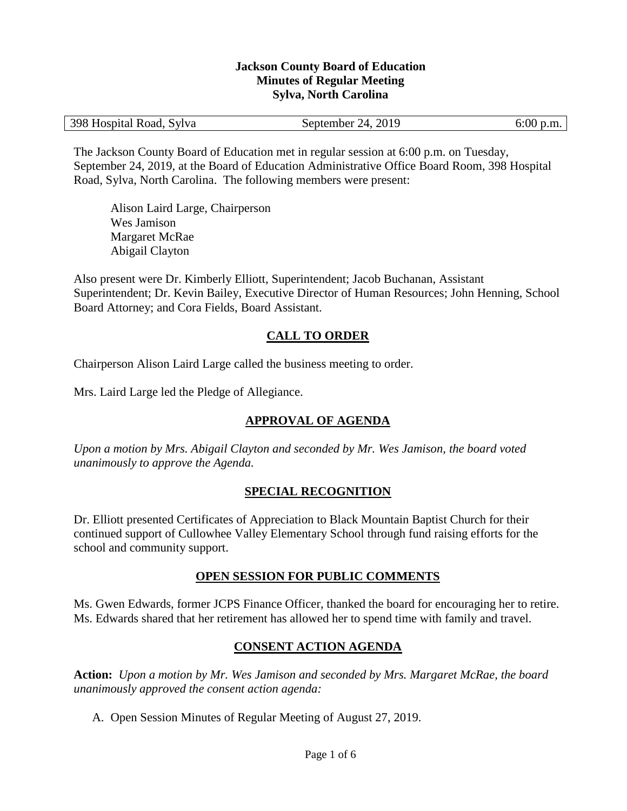#### **Jackson County Board of Education Minutes of Regular Meeting Sylva, North Carolina**

| 398 Hospital Road, Sylva | September 24, 2019 | $6:00$ p.m. |
|--------------------------|--------------------|-------------|
|--------------------------|--------------------|-------------|

The Jackson County Board of Education met in regular session at 6:00 p.m. on Tuesday, September 24, 2019, at the Board of Education Administrative Office Board Room, 398 Hospital Road, Sylva, North Carolina. The following members were present:

Alison Laird Large, Chairperson Wes Jamison Margaret McRae Abigail Clayton

Also present were Dr. Kimberly Elliott, Superintendent; Jacob Buchanan, Assistant Superintendent; Dr. Kevin Bailey, Executive Director of Human Resources; John Henning, School Board Attorney; and Cora Fields, Board Assistant.

#### **CALL TO ORDER**

Chairperson Alison Laird Large called the business meeting to order.

Mrs. Laird Large led the Pledge of Allegiance.

## **APPROVAL OF AGENDA**

*Upon a motion by Mrs. Abigail Clayton and seconded by Mr. Wes Jamison, the board voted unanimously to approve the Agenda.*

#### **SPECIAL RECOGNITION**

Dr. Elliott presented Certificates of Appreciation to Black Mountain Baptist Church for their continued support of Cullowhee Valley Elementary School through fund raising efforts for the school and community support.

#### **OPEN SESSION FOR PUBLIC COMMENTS**

Ms. Gwen Edwards, former JCPS Finance Officer, thanked the board for encouraging her to retire. Ms. Edwards shared that her retirement has allowed her to spend time with family and travel.

#### **CONSENT ACTION AGENDA**

**Action:** *Upon a motion by Mr. Wes Jamison and seconded by Mrs. Margaret McRae, the board unanimously approved the consent action agenda:*

A. Open Session Minutes of Regular Meeting of August 27, 2019.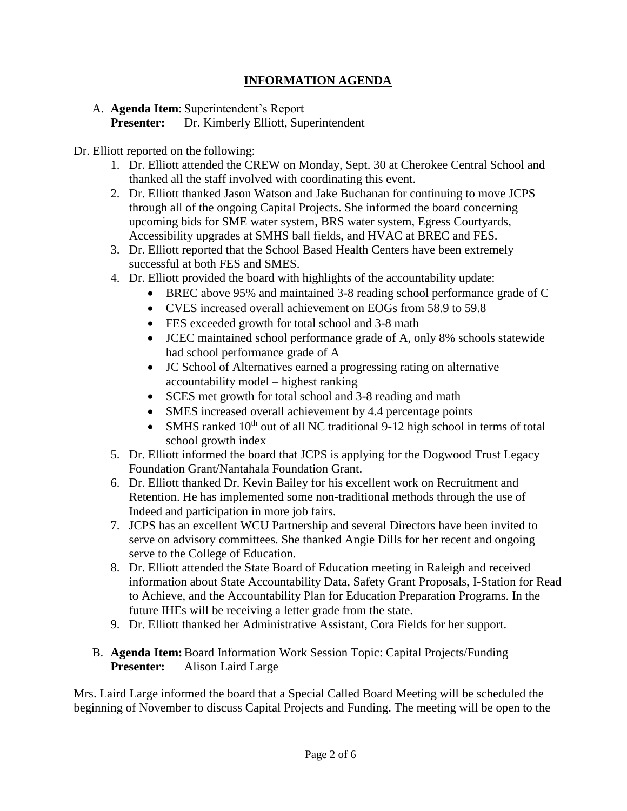## **INFORMATION AGENDA**

#### A. **Agenda Item**: Superintendent's Report **Presenter:** Dr. Kimberly Elliott, Superintendent

Dr. Elliott reported on the following:

- 1. Dr. Elliott attended the CREW on Monday, Sept. 30 at Cherokee Central School and thanked all the staff involved with coordinating this event.
- 2. Dr. Elliott thanked Jason Watson and Jake Buchanan for continuing to move JCPS through all of the ongoing Capital Projects. She informed the board concerning upcoming bids for SME water system, BRS water system, Egress Courtyards, Accessibility upgrades at SMHS ball fields, and HVAC at BREC and FES.
- 3. Dr. Elliott reported that the School Based Health Centers have been extremely successful at both FES and SMES.
- 4. Dr. Elliott provided the board with highlights of the accountability update:
	- BREC above 95% and maintained 3-8 reading school performance grade of C
	- CVES increased overall achievement on EOGs from 58.9 to 59.8
	- FES exceeded growth for total school and 3-8 math
	- JCEC maintained school performance grade of A, only 8% schools statewide had school performance grade of A
	- JC School of Alternatives earned a progressing rating on alternative accountability model – highest ranking
	- SCES met growth for total school and 3-8 reading and math
	- SMES increased overall achievement by 4.4 percentage points
	- SMHS ranked  $10<sup>th</sup>$  out of all NC traditional 9-12 high school in terms of total school growth index
- 5. Dr. Elliott informed the board that JCPS is applying for the Dogwood Trust Legacy Foundation Grant/Nantahala Foundation Grant.
- 6. Dr. Elliott thanked Dr. Kevin Bailey for his excellent work on Recruitment and Retention. He has implemented some non-traditional methods through the use of Indeed and participation in more job fairs.
- 7. JCPS has an excellent WCU Partnership and several Directors have been invited to serve on advisory committees. She thanked Angie Dills for her recent and ongoing serve to the College of Education.
- 8. Dr. Elliott attended the State Board of Education meeting in Raleigh and received information about State Accountability Data, Safety Grant Proposals, I-Station for Read to Achieve, and the Accountability Plan for Education Preparation Programs. In the future IHEs will be receiving a letter grade from the state.
- 9. Dr. Elliott thanked her Administrative Assistant, Cora Fields for her support.

#### B. **Agenda Item:**Board Information Work Session Topic: Capital Projects/Funding **Presenter:** Alison Laird Large

Mrs. Laird Large informed the board that a Special Called Board Meeting will be scheduled the beginning of November to discuss Capital Projects and Funding. The meeting will be open to the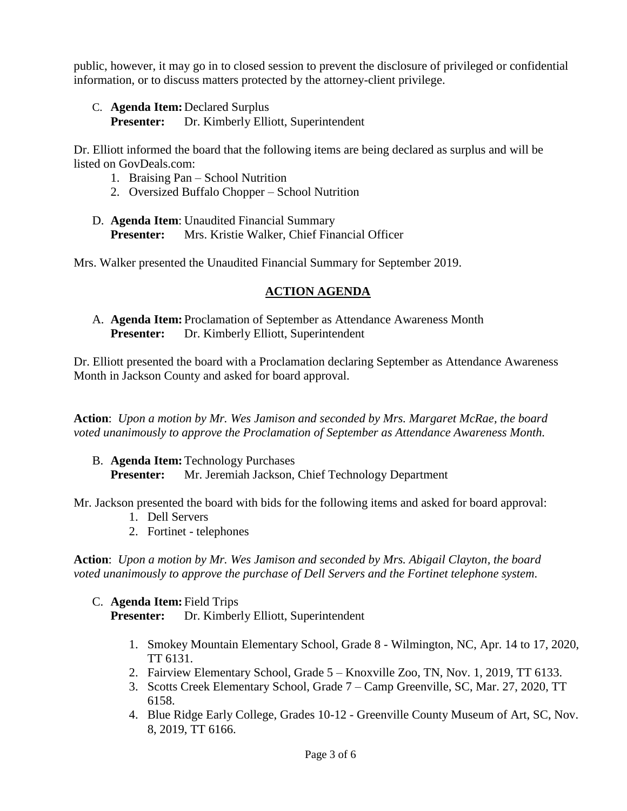public, however, it may go in to closed session to prevent the disclosure of privileged or confidential information, or to discuss matters protected by the attorney-client privilege.

C. **Agenda Item:** Declared Surplus

**Presenter:** Dr. Kimberly Elliott, Superintendent

Dr. Elliott informed the board that the following items are being declared as surplus and will be listed on GovDeals.com:

- 1. Braising Pan School Nutrition
- 2. Oversized Buffalo Chopper School Nutrition
- D. **Agenda Item**: Unaudited Financial Summary **Presenter:** Mrs. Kristie Walker, Chief Financial Officer

Mrs. Walker presented the Unaudited Financial Summary for September 2019.

## **ACTION AGENDA**

A. **Agenda Item:** Proclamation of September as Attendance Awareness Month **Presenter:** Dr. Kimberly Elliott, Superintendent

Dr. Elliott presented the board with a Proclamation declaring September as Attendance Awareness Month in Jackson County and asked for board approval.

**Action**: *Upon a motion by Mr. Wes Jamison and seconded by Mrs. Margaret McRae, the board voted unanimously to approve the Proclamation of September as Attendance Awareness Month.*

B. **Agenda Item:**Technology Purchases **Presenter:** Mr. Jeremiah Jackson, Chief Technology Department

Mr. Jackson presented the board with bids for the following items and asked for board approval:

- 1. Dell Servers
- 2. Fortinet telephones

**Action**: *Upon a motion by Mr. Wes Jamison and seconded by Mrs. Abigail Clayton, the board voted unanimously to approve the purchase of Dell Servers and the Fortinet telephone system.*

#### C. **Agenda Item:** Field Trips **Presenter:** Dr. Kimberly Elliott, Superintendent

- 1. Smokey Mountain Elementary School, Grade 8 Wilmington, NC, Apr. 14 to 17, 2020, TT 6131.
- 2. Fairview Elementary School, Grade 5 Knoxville Zoo, TN, Nov. 1, 2019, TT 6133.
- 3. Scotts Creek Elementary School, Grade 7 Camp Greenville, SC, Mar. 27, 2020, TT 6158.
- 4. Blue Ridge Early College, Grades 10-12 Greenville County Museum of Art, SC, Nov. 8, 2019, TT 6166.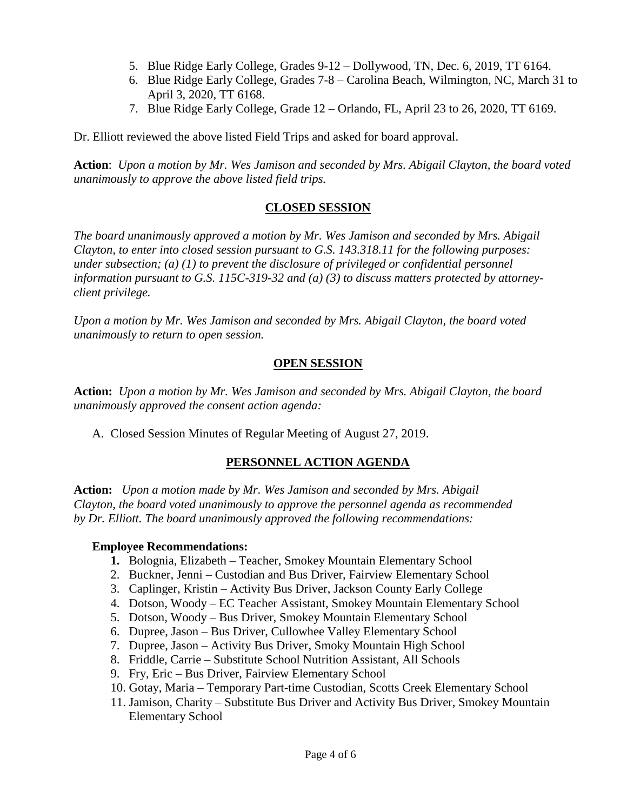- 5. Blue Ridge Early College, Grades 9-12 Dollywood, TN, Dec. 6, 2019, TT 6164.
- 6. Blue Ridge Early College, Grades 7-8 Carolina Beach, Wilmington, NC, March 31 to April 3, 2020, TT 6168.
- 7. Blue Ridge Early College, Grade 12 Orlando, FL, April 23 to 26, 2020, TT 6169.

Dr. Elliott reviewed the above listed Field Trips and asked for board approval.

**Action**: *Upon a motion by Mr. Wes Jamison and seconded by Mrs. Abigail Clayton, the board voted unanimously to approve the above listed field trips.*

## **CLOSED SESSION**

*The board unanimously approved a motion by Mr. Wes Jamison and seconded by Mrs. Abigail Clayton, to enter into closed session pursuant to G.S. 143.318.11 for the following purposes: under subsection; (a) (1) to prevent the disclosure of privileged or confidential personnel information pursuant to G.S. 115C-319-32 and (a) (3) to discuss matters protected by attorneyclient privilege.* 

*Upon a motion by Mr. Wes Jamison and seconded by Mrs. Abigail Clayton, the board voted unanimously to return to open session.*

## **OPEN SESSION**

**Action:** *Upon a motion by Mr. Wes Jamison and seconded by Mrs. Abigail Clayton, the board unanimously approved the consent action agenda:*

A. Closed Session Minutes of Regular Meeting of August 27, 2019.

## **PERSONNEL ACTION AGENDA**

**Action:** *Upon a motion made by Mr. Wes Jamison and seconded by Mrs. Abigail Clayton, the board voted unanimously to approve the personnel agenda as recommended by Dr. Elliott. The board unanimously approved the following recommendations:*

#### **Employee Recommendations:**

- **1.** Bolognia, Elizabeth Teacher, Smokey Mountain Elementary School
- 2. Buckner, Jenni Custodian and Bus Driver, Fairview Elementary School
- 3. Caplinger, Kristin Activity Bus Driver, Jackson County Early College
- 4. Dotson, Woody EC Teacher Assistant, Smokey Mountain Elementary School
- 5. Dotson, Woody Bus Driver, Smokey Mountain Elementary School
- 6. Dupree, Jason Bus Driver, Cullowhee Valley Elementary School
- 7. Dupree, Jason Activity Bus Driver, Smoky Mountain High School
- 8. Friddle, Carrie Substitute School Nutrition Assistant, All Schools
- 9. Fry, Eric Bus Driver, Fairview Elementary School
- 10. Gotay, Maria Temporary Part-time Custodian, Scotts Creek Elementary School
- 11. Jamison, Charity Substitute Bus Driver and Activity Bus Driver, Smokey Mountain Elementary School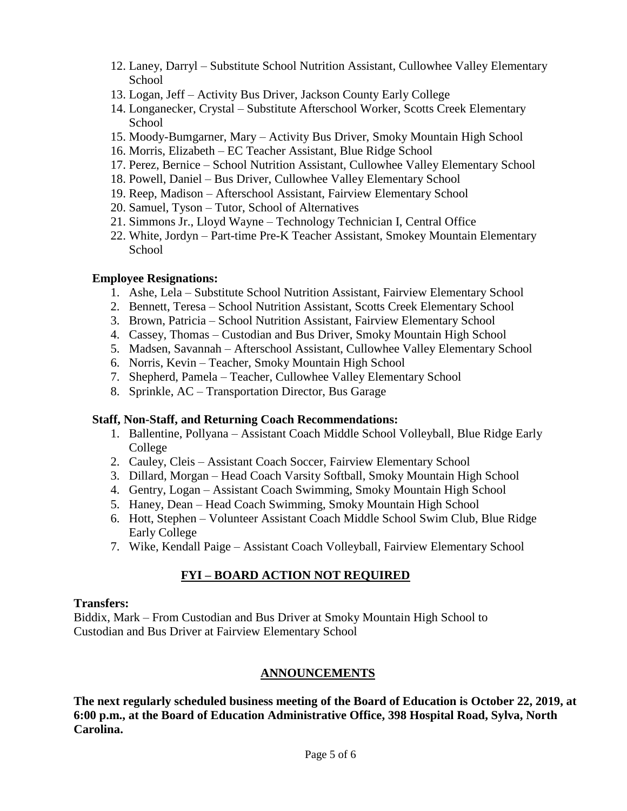- 12. Laney, Darryl Substitute School Nutrition Assistant, Cullowhee Valley Elementary School
- 13. Logan, Jeff Activity Bus Driver, Jackson County Early College
- 14. Longanecker, Crystal Substitute Afterschool Worker, Scotts Creek Elementary School
- 15. Moody-Bumgarner, Mary Activity Bus Driver, Smoky Mountain High School
- 16. Morris, Elizabeth EC Teacher Assistant, Blue Ridge School
- 17. Perez, Bernice School Nutrition Assistant, Cullowhee Valley Elementary School
- 18. Powell, Daniel Bus Driver, Cullowhee Valley Elementary School
- 19. Reep, Madison Afterschool Assistant, Fairview Elementary School
- 20. Samuel, Tyson Tutor, School of Alternatives
- 21. Simmons Jr., Lloyd Wayne Technology Technician I, Central Office
- 22. White, Jordyn Part-time Pre-K Teacher Assistant, Smokey Mountain Elementary School

## **Employee Resignations:**

- 1. Ashe, Lela Substitute School Nutrition Assistant, Fairview Elementary School
- 2. Bennett, Teresa School Nutrition Assistant, Scotts Creek Elementary School
- 3. Brown, Patricia School Nutrition Assistant, Fairview Elementary School
- 4. Cassey, Thomas Custodian and Bus Driver, Smoky Mountain High School
- 5. Madsen, Savannah Afterschool Assistant, Cullowhee Valley Elementary School
- 6. Norris, Kevin Teacher, Smoky Mountain High School
- 7. Shepherd, Pamela Teacher, Cullowhee Valley Elementary School
- 8. Sprinkle, AC Transportation Director, Bus Garage

## **Staff, Non-Staff, and Returning Coach Recommendations:**

- 1. Ballentine, Pollyana Assistant Coach Middle School Volleyball, Blue Ridge Early College
- 2. Cauley, Cleis Assistant Coach Soccer, Fairview Elementary School
- 3. Dillard, Morgan Head Coach Varsity Softball, Smoky Mountain High School
- 4. Gentry, Logan Assistant Coach Swimming, Smoky Mountain High School
- 5. Haney, Dean Head Coach Swimming, Smoky Mountain High School
- 6. Hott, Stephen Volunteer Assistant Coach Middle School Swim Club, Blue Ridge Early College
- 7. Wike, Kendall Paige Assistant Coach Volleyball, Fairview Elementary School

# **FYI – BOARD ACTION NOT REQUIRED**

## **Transfers:**

Biddix, Mark – From Custodian and Bus Driver at Smoky Mountain High School to Custodian and Bus Driver at Fairview Elementary School

## **ANNOUNCEMENTS**

**The next regularly scheduled business meeting of the Board of Education is October 22, 2019, at 6:00 p.m., at the Board of Education Administrative Office, 398 Hospital Road, Sylva, North Carolina.**